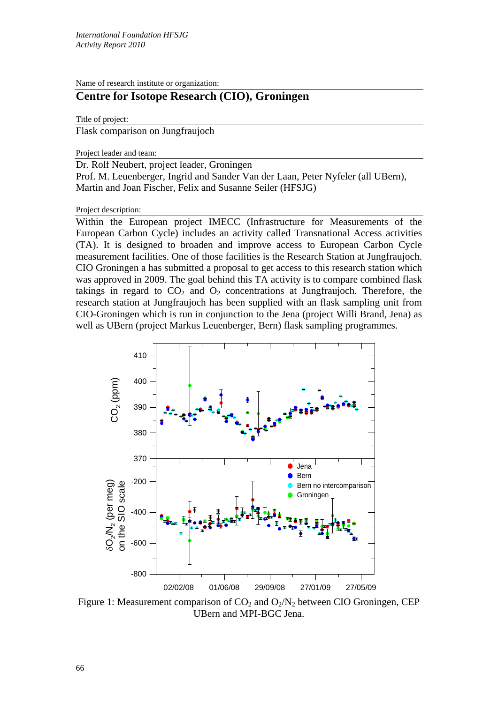Name of research institute or organization:

## **Centre for Isotope Research (CIO), Groningen**

Title of project:

Flask comparison on Jungfraujoch

Project leader and team:

Dr. Rolf Neubert, project leader, Groningen Prof. M. Leuenberger, Ingrid and Sander Van der Laan, Peter Nyfeler (all UBern), Martin and Joan Fischer, Felix and Susanne Seiler (HFSJG)

## Project description:

Within the European project IMECC (Infrastructure for Measurements of the European Carbon Cycle) includes an activity called Transnational Access activities (TA). It is designed to broaden and improve access to European Carbon Cycle measurement facilities. One of those facilities is the Research Station at Jungfraujoch. CIO Groningen a has submitted a proposal to get access to this research station which was approved in 2009. The goal behind this TA activity is to compare combined flask takings in regard to  $CO<sub>2</sub>$  and  $O<sub>2</sub>$  concentrations at Jungfraujoch. Therefore, the research station at Jungfraujoch has been supplied with an flask sampling unit from CIO-Groningen which is run in conjunction to the Jena (project Willi Brand, Jena) as well as UBern (project Markus Leuenberger, Bern) flask sampling programmes.



Figure 1: Measurement comparison of  $CO<sub>2</sub>$  and  $O<sub>2</sub>/N<sub>2</sub>$  between CIO Groningen, CEP UBern and MPI-BGC Jena.